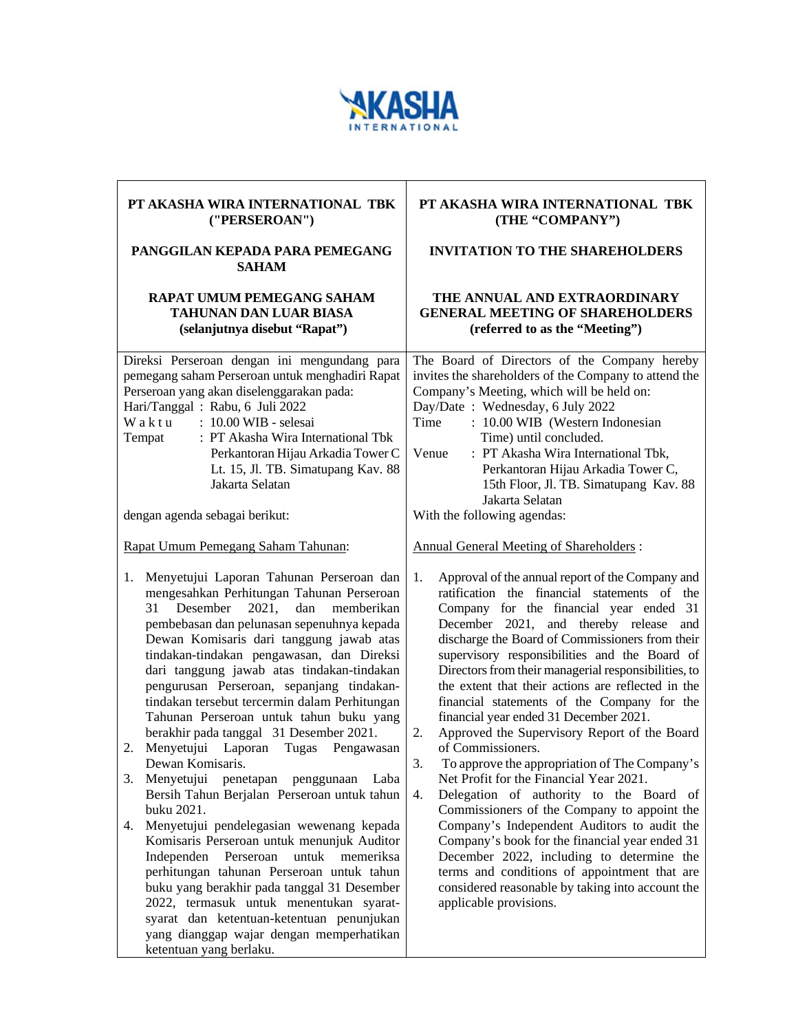

| PT AKASHA WIRA INTERNATIONAL TBK<br>("PERSEROAN")                                                                                                                                                                                                                                                                                                                                                                                                                                                                                                                                         | PT AKASHA WIRA INTERNATIONAL TBK<br>(THE "COMPANY")                                                                                                                                                                                                                                                                                                                                                                                                                                                                                                                                                                        |  |
|-------------------------------------------------------------------------------------------------------------------------------------------------------------------------------------------------------------------------------------------------------------------------------------------------------------------------------------------------------------------------------------------------------------------------------------------------------------------------------------------------------------------------------------------------------------------------------------------|----------------------------------------------------------------------------------------------------------------------------------------------------------------------------------------------------------------------------------------------------------------------------------------------------------------------------------------------------------------------------------------------------------------------------------------------------------------------------------------------------------------------------------------------------------------------------------------------------------------------------|--|
| PANGGILAN KEPADA PARA PEMEGANG<br><b>SAHAM</b>                                                                                                                                                                                                                                                                                                                                                                                                                                                                                                                                            | <b>INVITATION TO THE SHAREHOLDERS</b>                                                                                                                                                                                                                                                                                                                                                                                                                                                                                                                                                                                      |  |
| RAPAT UMUM PEMEGANG SAHAM<br>TAHUNAN DAN LUAR BIASA<br>(selanjutnya disebut "Rapat")                                                                                                                                                                                                                                                                                                                                                                                                                                                                                                      | THE ANNUAL AND EXTRAORDINARY<br><b>GENERAL MEETING OF SHAREHOLDERS</b><br>(referred to as the "Meeting")                                                                                                                                                                                                                                                                                                                                                                                                                                                                                                                   |  |
| Direksi Perseroan dengan ini mengundang para<br>pemegang saham Perseroan untuk menghadiri Rapat<br>Perseroan yang akan diselenggarakan pada:<br>Hari/Tanggal: Rabu, 6 Juli 2022<br>Waktu<br>: 10.00 WIB - selesai<br>: PT Akasha Wira International Tbk<br>Tempat<br>Perkantoran Hijau Arkadia Tower C<br>Lt. 15, Jl. TB. Simatupang Kav. 88<br>Jakarta Selatan<br>dengan agenda sebagai berikut:<br>Rapat Umum Pemegang Saham Tahunan:<br>Menyetujui Laporan Tahunan Perseroan dan<br>1.<br>mengesahkan Perhitungan Tahunan Perseroan                                                    | The Board of Directors of the Company hereby<br>invites the shareholders of the Company to attend the<br>Company's Meeting, which will be held on:<br>Day/Date: Wednesday, 6 July 2022<br>Time<br>: 10.00 WIB (Western Indonesian<br>Time) until concluded.<br>: PT Akasha Wira International Tbk,<br>Venue<br>Perkantoran Hijau Arkadia Tower C,<br>15th Floor, Jl. TB. Simatupang Kav. 88<br>Jakarta Selatan<br>With the following agendas:<br><b>Annual General Meeting of Shareholders:</b><br>Approval of the annual report of the Company and<br>1.<br>ratification the financial statements of the                  |  |
| Desember<br>2021,<br>dan<br>memberikan<br>31<br>pembebasan dan pelunasan sepenuhnya kepada<br>Dewan Komisaris dari tanggung jawab atas<br>tindakan-tindakan pengawasan, dan Direksi<br>dari tanggung jawab atas tindakan-tindakan<br>pengurusan Perseroan, sepanjang tindakan-<br>tindakan tersebut tercermin dalam Perhitungan<br>Tahunan Perseroan untuk tahun buku yang<br>berakhir pada tanggal 31 Desember 2021.<br>Menyetujui Laporan<br>Tugas<br>Pengawasan<br>2.<br>Dewan Komisaris.<br>3.<br>Menyetujui penetapan penggunaan Laba<br>Bersih Tahun Berjalan Perseroan untuk tahun | Company for the financial year ended 31<br>December 2021, and thereby release and<br>discharge the Board of Commissioners from their<br>supervisory responsibilities and the Board of<br>Directors from their managerial responsibilities, to<br>the extent that their actions are reflected in the<br>financial statements of the Company for the<br>financial year ended 31 December 2021.<br>Approved the Supervisory Report of the Board<br>2.<br>of Commissioners.<br>3.<br>To approve the appropriation of The Company's<br>Net Profit for the Financial Year 2021.<br>4.<br>Delegation of authority to the Board of |  |
| buku 2021.<br>Menyetujui pendelegasian wewenang kepada<br>4.<br>Komisaris Perseroan untuk menunjuk Auditor<br>Independen Perseroan<br>untuk<br>memeriksa<br>perhitungan tahunan Perseroan untuk tahun<br>buku yang berakhir pada tanggal 31 Desember<br>2022, termasuk untuk menentukan syarat-<br>syarat dan ketentuan-ketentuan penunjukan<br>yang dianggap wajar dengan memperhatikan<br>ketentuan yang berlaku.                                                                                                                                                                       | Commissioners of the Company to appoint the<br>Company's Independent Auditors to audit the<br>Company's book for the financial year ended 31<br>December 2022, including to determine the<br>terms and conditions of appointment that are<br>considered reasonable by taking into account the<br>applicable provisions.                                                                                                                                                                                                                                                                                                    |  |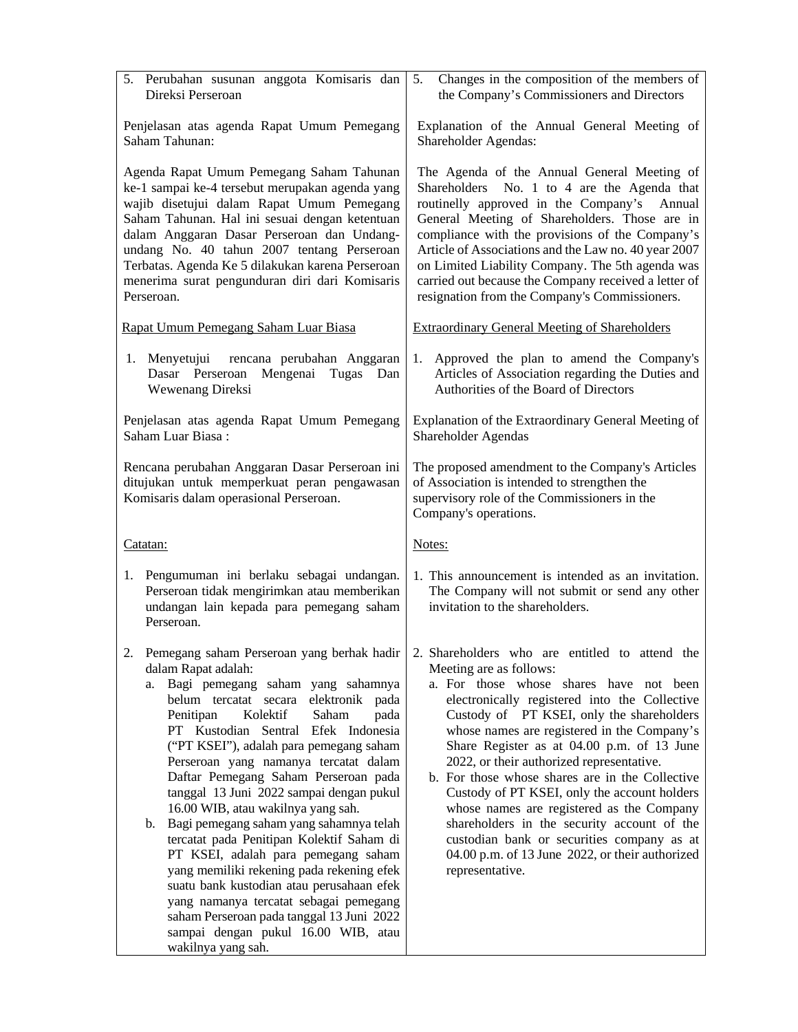| 5. Perubahan susunan anggota Komisaris dan<br>Direksi Perseroan                                                                                                                                                                                                                                                                                                                                                                                                                                                                                                                                                                                                                                                                                                                           | Changes in the composition of the members of<br>5.<br>the Company's Commissioners and Directors                                                                                                                                                                                                                                                                                                                                                                                                                                                                                                                                                                                                                              |  |  |
|-------------------------------------------------------------------------------------------------------------------------------------------------------------------------------------------------------------------------------------------------------------------------------------------------------------------------------------------------------------------------------------------------------------------------------------------------------------------------------------------------------------------------------------------------------------------------------------------------------------------------------------------------------------------------------------------------------------------------------------------------------------------------------------------|------------------------------------------------------------------------------------------------------------------------------------------------------------------------------------------------------------------------------------------------------------------------------------------------------------------------------------------------------------------------------------------------------------------------------------------------------------------------------------------------------------------------------------------------------------------------------------------------------------------------------------------------------------------------------------------------------------------------------|--|--|
| Penjelasan atas agenda Rapat Umum Pemegang<br>Saham Tahunan:                                                                                                                                                                                                                                                                                                                                                                                                                                                                                                                                                                                                                                                                                                                              | Explanation of the Annual General Meeting of<br>Shareholder Agendas:                                                                                                                                                                                                                                                                                                                                                                                                                                                                                                                                                                                                                                                         |  |  |
| Agenda Rapat Umum Pemegang Saham Tahunan<br>ke-1 sampai ke-4 tersebut merupakan agenda yang<br>wajib disetujui dalam Rapat Umum Pemegang<br>Saham Tahunan. Hal ini sesuai dengan ketentuan<br>dalam Anggaran Dasar Perseroan dan Undang-<br>undang No. 40 tahun 2007 tentang Perseroan<br>Terbatas. Agenda Ke 5 dilakukan karena Perseroan<br>menerima surat pengunduran diri dari Komisaris<br>Perseroan.                                                                                                                                                                                                                                                                                                                                                                                | The Agenda of the Annual General Meeting of<br>Shareholders No. 1 to 4 are the Agenda that<br>routinelly approved in the Company's Annual<br>General Meeting of Shareholders. Those are in<br>compliance with the provisions of the Company's<br>Article of Associations and the Law no. 40 year 2007<br>on Limited Liability Company. The 5th agenda was<br>carried out because the Company received a letter of<br>resignation from the Company's Commissioners.                                                                                                                                                                                                                                                           |  |  |
| Rapat Umum Pemegang Saham Luar Biasa                                                                                                                                                                                                                                                                                                                                                                                                                                                                                                                                                                                                                                                                                                                                                      | <b>Extraordinary General Meeting of Shareholders</b>                                                                                                                                                                                                                                                                                                                                                                                                                                                                                                                                                                                                                                                                         |  |  |
| rencana perubahan Anggaran<br>Menyetujui<br>1.<br>Dasar Perseroan<br>Mengenai Tugas Dan<br>Wewenang Direksi                                                                                                                                                                                                                                                                                                                                                                                                                                                                                                                                                                                                                                                                               | 1.<br>Approved the plan to amend the Company's<br>Articles of Association regarding the Duties and<br>Authorities of the Board of Directors                                                                                                                                                                                                                                                                                                                                                                                                                                                                                                                                                                                  |  |  |
| Penjelasan atas agenda Rapat Umum Pemegang<br>Saham Luar Biasa:                                                                                                                                                                                                                                                                                                                                                                                                                                                                                                                                                                                                                                                                                                                           | Explanation of the Extraordinary General Meeting of<br>Shareholder Agendas                                                                                                                                                                                                                                                                                                                                                                                                                                                                                                                                                                                                                                                   |  |  |
| Rencana perubahan Anggaran Dasar Perseroan ini<br>ditujukan untuk memperkuat peran pengawasan<br>Komisaris dalam operasional Perseroan.                                                                                                                                                                                                                                                                                                                                                                                                                                                                                                                                                                                                                                                   | The proposed amendment to the Company's Articles<br>of Association is intended to strengthen the<br>supervisory role of the Commissioners in the<br>Company's operations.                                                                                                                                                                                                                                                                                                                                                                                                                                                                                                                                                    |  |  |
| Catatan:                                                                                                                                                                                                                                                                                                                                                                                                                                                                                                                                                                                                                                                                                                                                                                                  | Notes:                                                                                                                                                                                                                                                                                                                                                                                                                                                                                                                                                                                                                                                                                                                       |  |  |
| 1. Pengumuman ini berlaku sebagai undangan.<br>Perseroan tidak mengirimkan atau memberikan<br>undangan lain kepada para pemegang saham<br>Perseroan.                                                                                                                                                                                                                                                                                                                                                                                                                                                                                                                                                                                                                                      | 1. This announcement is intended as an invitation.<br>The Company will not submit or send any other<br>invitation to the shareholders.                                                                                                                                                                                                                                                                                                                                                                                                                                                                                                                                                                                       |  |  |
| dalam Rapat adalah:<br>Bagi pemegang saham yang sahamnya<br>a.<br>belum tercatat secara elektronik pada<br>Penitipan<br>Kolektif<br>Saham<br>pada<br>PT Kustodian Sentral Efek Indonesia<br>("PT KSEI"), adalah para pemegang saham<br>Perseroan yang namanya tercatat dalam<br>Daftar Pemegang Saham Perseroan pada<br>tanggal 13 Juni 2022 sampai dengan pukul<br>16.00 WIB, atau wakilnya yang sah.<br>Bagi pemegang saham yang sahamnya telah<br>b.<br>tercatat pada Penitipan Kolektif Saham di<br>PT KSEI, adalah para pemegang saham<br>yang memiliki rekening pada rekening efek<br>suatu bank kustodian atau perusahaan efek<br>yang namanya tercatat sebagai pemegang<br>saham Perseroan pada tanggal 13 Juni 2022<br>sampai dengan pukul 16.00 WIB, atau<br>wakilnya yang sah. | Pemegang saham Perseroan yang berhak hadir   2. Shareholders who are entitled to attend the<br>Meeting are as follows:<br>a. For those whose shares have not been<br>electronically registered into the Collective<br>Custody of PT KSEI, only the shareholders<br>whose names are registered in the Company's<br>Share Register as at 04.00 p.m. of 13 June<br>2022, or their authorized representative.<br>b. For those whose shares are in the Collective<br>Custody of PT KSEI, only the account holders<br>whose names are registered as the Company<br>shareholders in the security account of the<br>custodian bank or securities company as at<br>04.00 p.m. of 13 June 2022, or their authorized<br>representative. |  |  |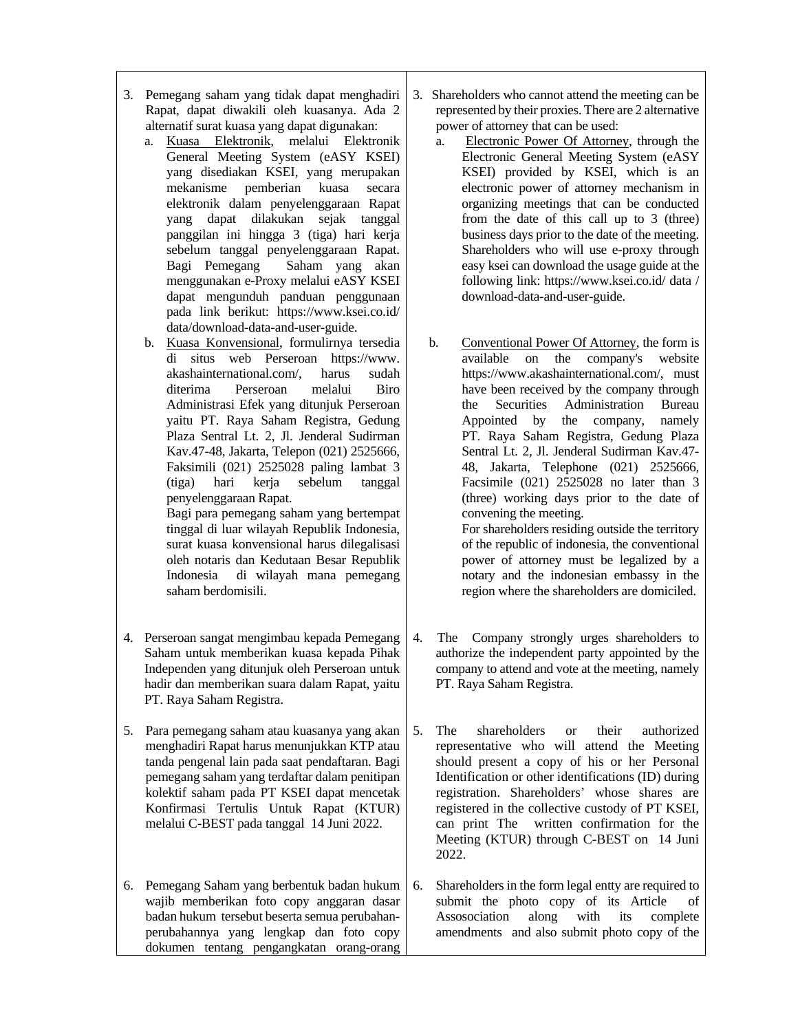- 3. Pemegang saham yang tidak dapat menghadiri Rapat, dapat diwakili oleh kuasanya. Ada 2 alternatif surat kuasa yang dapat digunakan:
	- a. Kuasa Elektronik, melalui Elektronik General Meeting System (eASY KSEI) yang disediakan KSEI, yang merupakan mekanisme pemberian kuasa secara elektronik dalam penyelenggaraan Rapat yang dapat dilakukan sejak tanggal panggilan ini hingga 3 (tiga) hari kerja sebelum tanggal penyelenggaraan Rapat. Bagi Pemegang Saham yang akan menggunakan e-Proxy melalui eASY KSEI dapat mengunduh panduan penggunaan pada link berikut: https://www.ksei.co.id/ data/download-data-and-user-guide.
	- b. Kuasa Konvensional, formulirnya tersedia di situs web Perseroan https://www.<br>akashainternational.com/, harus sudah akashainternational.com/, harus sudah diterima Perseroan melalui Biro Administrasi Efek yang ditunjuk Perseroan yaitu PT. Raya Saham Registra, Gedung Plaza Sentral Lt. 2, Jl. Jenderal Sudirman Kav.47-48, Jakarta, Telepon (021) 2525666, Faksimili (021) 2525028 paling lambat 3 (tiga) hari kerja sebelum tanggal penyelenggaraan Rapat.

Bagi para pemegang saham yang bertempat tinggal di luar wilayah Republik Indonesia, surat kuasa konvensional harus dilegalisasi oleh notaris dan Kedutaan Besar Republik Indonesia di wilayah mana pemegang saham berdomisili.

- 4. Perseroan sangat mengimbau kepada Pemegang Saham untuk memberikan kuasa kepada Pihak Independen yang ditunjuk oleh Perseroan untuk hadir dan memberikan suara dalam Rapat, yaitu PT. Raya Saham Registra.
- 5. Para pemegang saham atau kuasanya yang akan menghadiri Rapat harus menunjukkan KTP atau tanda pengenal lain pada saat pendaftaran. Bagi pemegang saham yang terdaftar dalam penitipan kolektif saham pada PT KSEI dapat mencetak Konfirmasi Tertulis Untuk Rapat (KTUR) melalui C-BEST pada tanggal 14 Juni 2022.
- 6. Pemegang Saham yang berbentuk badan hukum wajib memberikan foto copy anggaran dasar badan hukum tersebut beserta semua perubahanperubahannya yang lengkap dan foto copy dokumen tentang pengangkatan orang-orang
- 3. Shareholders who cannot attend the meeting can be represented by their proxies. There are 2 alternative power of attorney that can be used:
	- a. Electronic Power Of Attorney, through the Electronic General Meeting System (eASY KSEI) provided by KSEI, which is an electronic power of attorney mechanism in organizing meetings that can be conducted from the date of this call up to 3 (three) business days prior to the date of the meeting. Shareholders who will use e-proxy through easy ksei can download the usage guide at the following link: https://www.ksei.co.id/ data / download-data-and-user-guide.
	- b. Conventional Power Of Attorney, the form is available on the company's website https://www.akashainternational.com/, must have been received by the company through the Securities Administration Bureau Appointed by the company, namely PT. Raya Saham Registra, Gedung Plaza Sentral Lt. 2, Jl. Jenderal Sudirman Kav.47- 48, Jakarta, Telephone (021) 2525666, Facsimile (021) 2525028 no later than 3 (three) working days prior to the date of convening the meeting. For shareholders residing outside the territory of the republic of indonesia, the conventional

power of attorney must be legalized by a notary and the indonesian embassy in the region where the shareholders are domiciled.

- 4. The Company strongly urges shareholders to authorize the independent party appointed by the company to attend and vote at the meeting, namely PT. Raya Saham Registra.
- 5. The shareholders or their authorized representative who will attend the Meeting should present a copy of his or her Personal Identification or other identifications (ID) during registration. Shareholders' whose shares are registered in the collective custody of PT KSEI, can print The written confirmation for the Meeting (KTUR) through C-BEST on 14 Juni 2022.
- 6. Shareholders in the form legal entty are required to submit the photo copy of its Article of Assosociation along with its complete amendments and also submit photo copy of the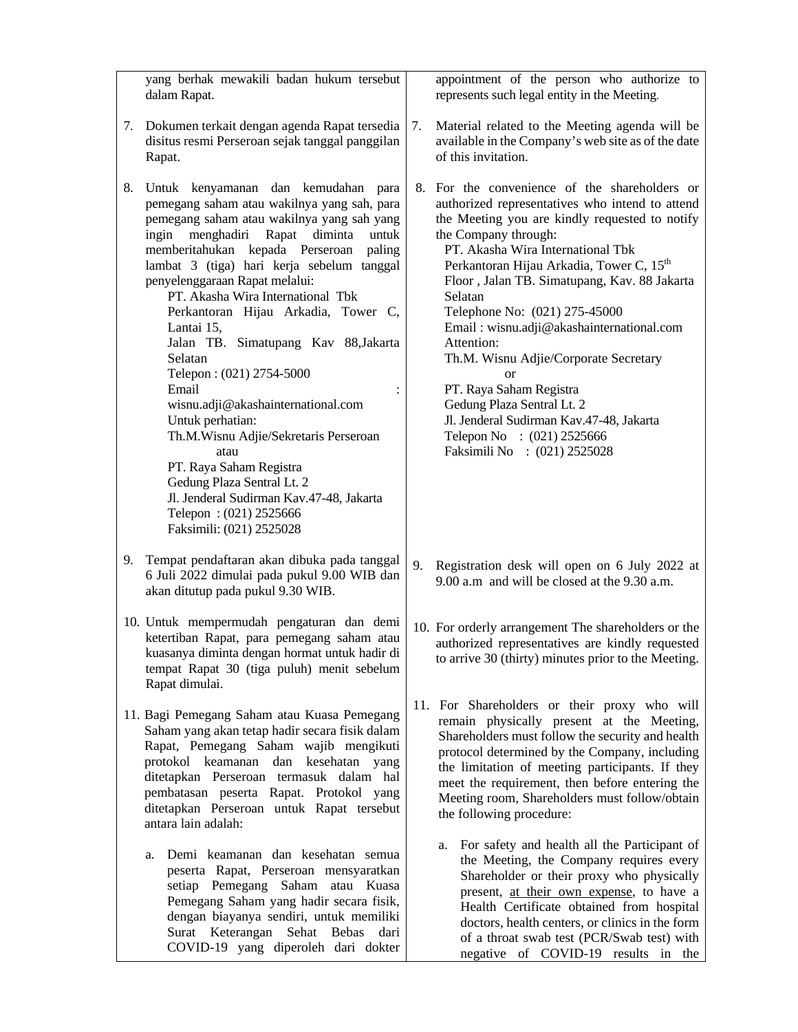|    | yang berhak mewakili badan hukum tersebut                                                                                                                                                                                                                                                                                                                                                                                                                                                                                                                                                                                                                                                                                                                           |    | appointment of the person who authorize to                                                                                                                                                                                                                                                                                                                                                                                                                                                                                                                                                                                                              |
|----|---------------------------------------------------------------------------------------------------------------------------------------------------------------------------------------------------------------------------------------------------------------------------------------------------------------------------------------------------------------------------------------------------------------------------------------------------------------------------------------------------------------------------------------------------------------------------------------------------------------------------------------------------------------------------------------------------------------------------------------------------------------------|----|---------------------------------------------------------------------------------------------------------------------------------------------------------------------------------------------------------------------------------------------------------------------------------------------------------------------------------------------------------------------------------------------------------------------------------------------------------------------------------------------------------------------------------------------------------------------------------------------------------------------------------------------------------|
|    | dalam Rapat.                                                                                                                                                                                                                                                                                                                                                                                                                                                                                                                                                                                                                                                                                                                                                        |    | represents such legal entity in the Meeting.                                                                                                                                                                                                                                                                                                                                                                                                                                                                                                                                                                                                            |
| 7. | Dokumen terkait dengan agenda Rapat tersedia<br>disitus resmi Perseroan sejak tanggal panggilan<br>Rapat.                                                                                                                                                                                                                                                                                                                                                                                                                                                                                                                                                                                                                                                           | 7. | Material related to the Meeting agenda will be<br>available in the Company's web site as of the date<br>of this invitation.                                                                                                                                                                                                                                                                                                                                                                                                                                                                                                                             |
| 8. | Untuk kenyamanan dan kemudahan para<br>pemegang saham atau wakilnya yang sah, para<br>pemegang saham atau wakilnya yang sah yang<br>ingin menghadiri Rapat<br>diminta<br>untuk<br>memberitahukan kepada Perseroan<br>paling<br>lambat 3 (tiga) hari kerja sebelum tanggal<br>penyelenggaraan Rapat melalui:<br>PT. Akasha Wira International Tbk<br>Perkantoran Hijau Arkadia, Tower C,<br>Lantai 15,<br>Jalan TB. Simatupang Kav 88, Jakarta<br>Selatan<br>Telepon: (021) 2754-5000<br>Email<br>wisnu.adji@akashainternational.com<br>Untuk perhatian:<br>Th.M.Wisnu Adjie/Sekretaris Perseroan<br>atau<br>PT. Raya Saham Registra<br>Gedung Plaza Sentral Lt. 2<br>Jl. Jenderal Sudirman Kav.47-48, Jakarta<br>Telepon: (021) 2525666<br>Faksimili: (021) 2525028 |    | 8. For the convenience of the shareholders or<br>authorized representatives who intend to attend<br>the Meeting you are kindly requested to notify<br>the Company through:<br>PT. Akasha Wira International Tbk<br>Perkantoran Hijau Arkadia, Tower C, 15 <sup>th</sup><br>Floor, Jalan TB. Simatupang, Kav. 88 Jakarta<br>Selatan<br>Telephone No: (021) 275-45000<br>Email: wisnu.adji@akashainternational.com<br>Attention:<br>Th.M. Wisnu Adjie/Corporate Secretary<br><b>or</b><br>PT. Raya Saham Registra<br>Gedung Plaza Sentral Lt. 2<br>Jl. Jenderal Sudirman Kav.47-48, Jakarta<br>Telepon No : (021) 2525666<br>Faksimili No : (021) 2525028 |
| 9. | Tempat pendaftaran akan dibuka pada tanggal<br>6 Juli 2022 dimulai pada pukul 9.00 WIB dan<br>akan ditutup pada pukul 9.30 WIB.                                                                                                                                                                                                                                                                                                                                                                                                                                                                                                                                                                                                                                     |    | 9. Registration desk will open on 6 July 2022 at<br>9.00 a.m and will be closed at the 9.30 a.m.                                                                                                                                                                                                                                                                                                                                                                                                                                                                                                                                                        |
|    | 10. Untuk mempermudah pengaturan dan demi<br>ketertiban Rapat, para pemegang saham atau<br>kuasanya diminta dengan hormat untuk hadir di<br>tempat Rapat 30 (tiga puluh) menit sebelum<br>Rapat dimulai.                                                                                                                                                                                                                                                                                                                                                                                                                                                                                                                                                            |    | 10. For orderly arrangement The shareholders or the<br>authorized representatives are kindly requested<br>to arrive 30 (thirty) minutes prior to the Meeting.                                                                                                                                                                                                                                                                                                                                                                                                                                                                                           |
|    | 11. Bagi Pemegang Saham atau Kuasa Pemegang<br>Saham yang akan tetap hadir secara fisik dalam<br>Rapat, Pemegang Saham wajib mengikuti<br>protokol keamanan dan<br>kesehatan yang<br>ditetapkan Perseroan termasuk dalam hal<br>pembatasan peserta Rapat. Protokol yang<br>ditetapkan Perseroan untuk Rapat tersebut<br>antara lain adalah:                                                                                                                                                                                                                                                                                                                                                                                                                         |    | 11. For Shareholders or their proxy who will<br>remain physically present at the Meeting,<br>Shareholders must follow the security and health<br>protocol determined by the Company, including<br>the limitation of meeting participants. If they<br>meet the requirement, then before entering the<br>Meeting room, Shareholders must follow/obtain<br>the following procedure:                                                                                                                                                                                                                                                                        |
|    | Demi keamanan dan kesehatan semua<br>a.<br>peserta Rapat, Perseroan mensyaratkan<br>setiap Pemegang Saham atau Kuasa<br>Pemegang Saham yang hadir secara fisik,<br>dengan biayanya sendiri, untuk memiliki<br>Surat Keterangan<br>Sehat Bebas<br>dari<br>COVID-19 yang diperoleh dari dokter                                                                                                                                                                                                                                                                                                                                                                                                                                                                        |    | For safety and health all the Participant of<br>a.<br>the Meeting, the Company requires every<br>Shareholder or their proxy who physically<br>present, at their own expense, to have a<br>Health Certificate obtained from hospital<br>doctors, health centers, or clinics in the form<br>of a throat swab test (PCR/Swab test) with<br>negative of COVID-19 results in the                                                                                                                                                                                                                                                                             |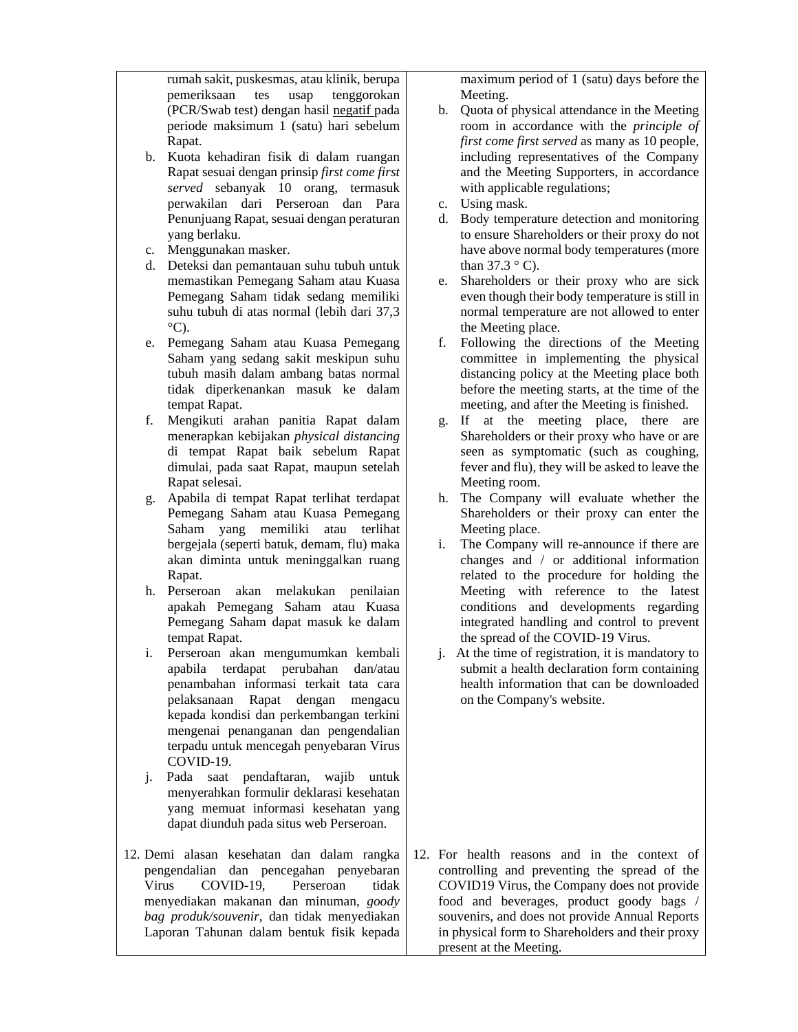rumah sakit, puskesmas, atau klinik, berupa pemeriksaan tes usap tenggorokan (PCR/Swab test) dengan hasil negatif pada periode maksimum 1 (satu) hari sebelum Rapat.

- b. Kuota kehadiran fisik di dalam ruangan Rapat sesuai dengan prinsip *first come first served* sebanyak 10 orang, termasuk perwakilan dari Perseroan dan Para Penunjuang Rapat, sesuai dengan peraturan yang berlaku.
- c. Menggunakan masker.
- d. Deteksi dan pemantauan suhu tubuh untuk memastikan Pemegang Saham atau Kuasa Pemegang Saham tidak sedang memiliki suhu tubuh di atas normal (lebih dari 37,3  $\mathrm{^{\circ}C}$ ).
- e. Pemegang Saham atau Kuasa Pemegang Saham yang sedang sakit meskipun suhu tubuh masih dalam ambang batas normal tidak diperkenankan masuk ke dalam tempat Rapat.
- f. Mengikuti arahan panitia Rapat dalam menerapkan kebijakan *physical distancing*  di tempat Rapat baik sebelum Rapat dimulai, pada saat Rapat, maupun setelah Rapat selesai.
- g. Apabila di tempat Rapat terlihat terdapat Pemegang Saham atau Kuasa Pemegang Saham yang memiliki atau terlihat bergejala (seperti batuk, demam, flu) maka akan diminta untuk meninggalkan ruang Rapat.
- h. Perseroan akan melakukan penilaian apakah Pemegang Saham atau Kuasa Pemegang Saham dapat masuk ke dalam tempat Rapat.
- i. Perseroan akan mengumumkan kembali apabila terdapat perubahan dan/atau penambahan informasi terkait tata cara pelaksanaan Rapat dengan mengacu kepada kondisi dan perkembangan terkini mengenai penanganan dan pengendalian terpadu untuk mencegah penyebaran Virus COVID-19.
- j. Pada saat pendaftaran, wajib untuk menyerahkan formulir deklarasi kesehatan yang memuat informasi kesehatan yang dapat diunduh pada situs web Perseroan.
- 12. Demi alasan kesehatan dan dalam rangka pengendalian dan pencegahan penyebaran Virus COVID-19, Perseroan tidak menyediakan makanan dan minuman, *goody bag produk/souvenir*, dan tidak menyediakan Laporan Tahunan dalam bentuk fisik kepada

maximum period of 1 (satu) days before the Meeting.

- b. Quota of physical attendance in the Meeting room in accordance with the *principle of first come first served* as many as 10 people, including representatives of the Company and the Meeting Supporters, in accordance with applicable regulations;
- c. Using mask.
- d. Body temperature detection and monitoring to ensure Shareholders or their proxy do not have above normal body temperatures (more than  $37.3 \degree$  C).
- e. Shareholders or their proxy who are sick even though their body temperature is still in normal temperature are not allowed to enter the Meeting place.
- f. Following the directions of the Meeting committee in implementing the physical distancing policy at the Meeting place both before the meeting starts, at the time of the meeting, and after the Meeting is finished.
- g. If at the meeting place, there are Shareholders or their proxy who have or are seen as symptomatic (such as coughing, fever and flu), they will be asked to leave the Meeting room.
- h. The Company will evaluate whether the Shareholders or their proxy can enter the Meeting place.
- i. The Company will re-announce if there are changes and / or additional information related to the procedure for holding the Meeting with reference to the latest conditions and developments regarding integrated handling and control to prevent the spread of the COVID-19 Virus.
- j. At the time of registration, it is mandatory to submit a health declaration form containing health information that can be downloaded on the Company's website.

12. For health reasons and in the context of controlling and preventing the spread of the COVID19 Virus, the Company does not provide food and beverages, product goody bags / souvenirs, and does not provide Annual Reports in physical form to Shareholders and their proxy present at the Meeting.